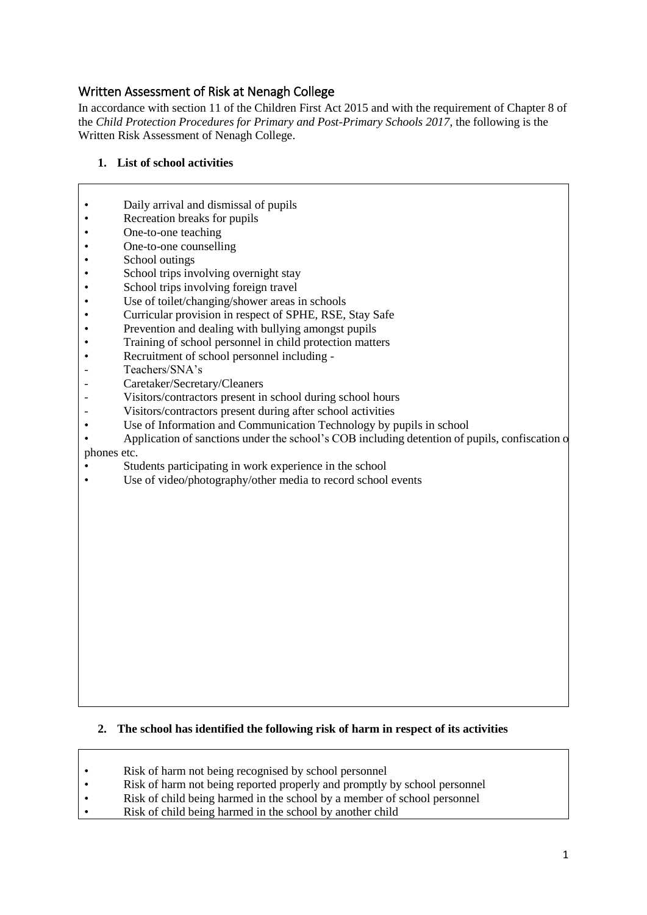### Written Assessment of Risk at Nenagh College

In accordance with section 11 of the Children First Act 2015 and with the requirement of Chapter 8 of the *Child Protection Procedures for Primary and Post-Primary Schools 2017*, the following is the Written Risk Assessment of Nenagh College.

#### **1. List of school activities**

- Daily arrival and dismissal of pupils
- Recreation breaks for pupils<br>• One-to-one teaching
- One-to-one teaching<br>• One-to-one counselli
- One-to-one counselling
- School outings
- School trips involving overnight stay
- School trips involving foreign travel
- Use of toilet/changing/shower areas in schools
- Curricular provision in respect of SPHE, RSE, Stay Safe<br>• Prevention and dealing with bullying amongst pupils
- Prevention and dealing with bullying amongst pupils
- Training of school personnel in child protection matters<br>• Recruitment of school personnel including -
- Recruitment of school personnel including -
- Teachers/SNA's
- Caretaker/Secretary/Cleaners
- Visitors/contractors present in school during school hours
- Visitors/contractors present during after school activities
- Use of Information and Communication Technology by pupils in school
- Application of sanctions under the school's COB including detention of pupils, confiscation of phones etc.
- Students participating in work experience in the school
- Use of video/photography/other media to record school events

#### **2. The school has identified the following risk of harm in respect of its activities**

- Risk of harm not being recognised by school personnel
- Risk of harm not being reported properly and promptly by school personnel
- Risk of child being harmed in the school by a member of school personnel
- Risk of child being harmed in the school by another child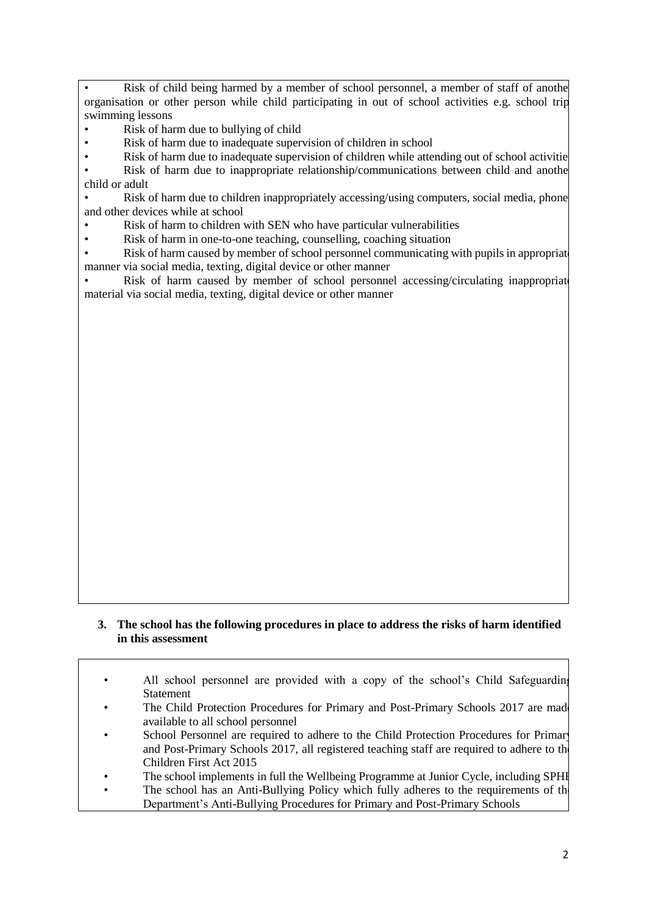Risk of child being harmed by a member of school personnel, a member of staff of another organisation or other person while child participating in out of school activities e.g. school trip, swimming lessons

- Risk of harm due to bullying of child
- Risk of harm due to inadequate supervision of children in school
- Risk of harm due to inadequate supervision of children while attending out of school activitie

Risk of harm due to inappropriate relationship/communications between child and another child or adult

• Risk of harm due to children inappropriately accessing/using computers, social media, phone and other devices while at school

- Risk of harm to children with SEN who have particular vulnerabilities
- Risk of harm in one-to-one teaching, counselling, coaching situation

• Risk of harm caused by member of school personnel communicating with pupils in appropriate manner via social media, texting, digital device or other manner

Risk of harm caused by member of school personnel accessing/circulating inappropriate material via social media, texting, digital device or other manner

#### **3. The school has the following procedures in place to address the risks of harm identified in this assessment**

• All school personnel are provided with a copy of the school's Child Safeguarding **Statement** 

- The Child Protection Procedures for Primary and Post-Primary Schools 2017 are made available to all school personnel
- School Personnel are required to adhere to the Child Protection Procedures for Primary and Post-Primary Schools 2017, all registered teaching staff are required to adhere to the Children First Act 2015
- The school implements in full the Wellbeing Programme at Junior Cycle, including SPHE
- The school has an Anti-Bullying Policy which fully adheres to the requirements of the Department's Anti-Bullying Procedures for Primary and Post-Primary Schools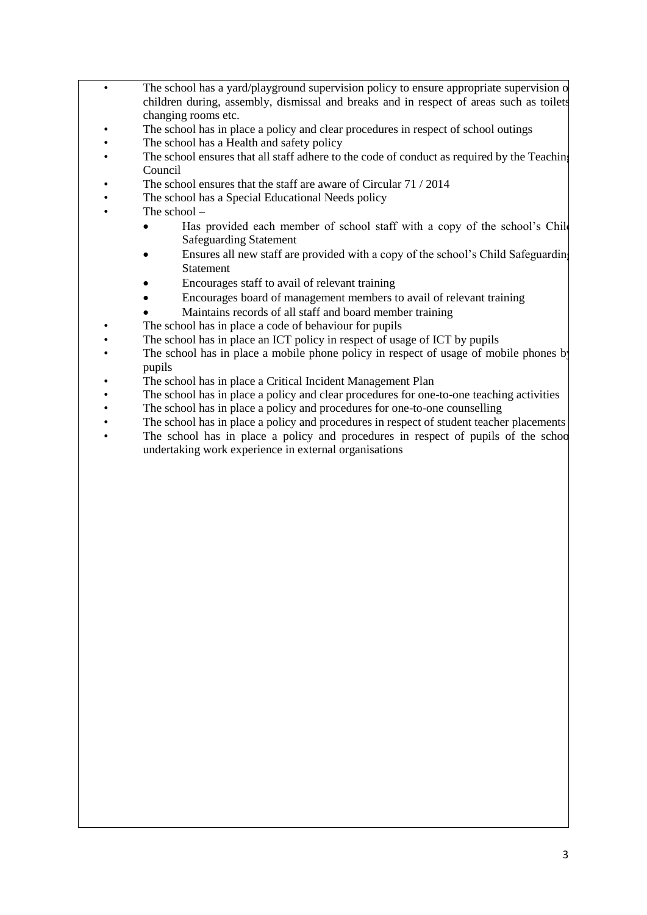- The school has a yard/playground supervision policy to ensure appropriate supervision of children during, assembly, dismissal and breaks and in respect of areas such as toilets, changing rooms etc.
	- The school has in place a policy and clear procedures in respect of school outings
	- The school has a Health and safety policy
	- The school ensures that all staff adhere to the code of conduct as required by the Teaching Council
	- The school ensures that the staff are aware of Circular 71 / 2014
	- The school has a Special Educational Needs policy
- The school -
	- Has provided each member of school staff with a copy of the school's Child Safeguarding Statement
	- Ensures all new staff are provided with a copy of the school's Child Safeguarding Statement
	- Encourages staff to avail of relevant training
	- Encourages board of management members to avail of relevant training
	- Maintains records of all staff and board member training
	- The school has in place a code of behaviour for pupils
	- The school has in place an ICT policy in respect of usage of ICT by pupils
- The school has in place a mobile phone policy in respect of usage of mobile phones by pupils
- The school has in place a Critical Incident Management Plan
- The school has in place a policy and clear procedures for one-to-one teaching activities
- The school has in place a policy and procedures for one-to-one counselling
- The school has in place a policy and procedures in respect of student teacher placements
- The school has in place a policy and procedures in respect of pupils of the school undertaking work experience in external organisations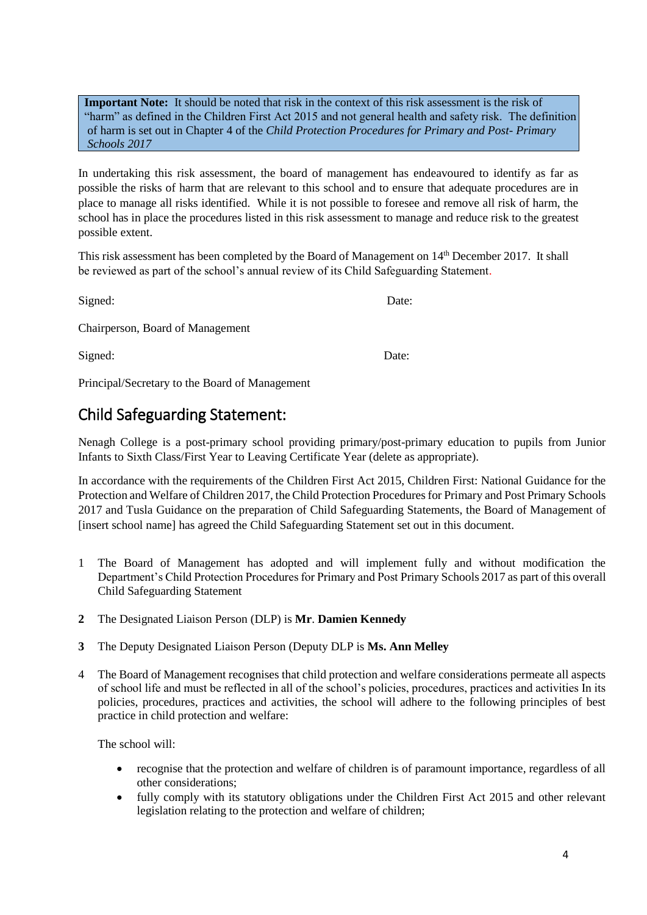**Important Note:** It should be noted that risk in the context of this risk assessment is the risk of "harm" as defined in the Children First Act 2015 and not general health and safety risk. The definition of harm is set out in Chapter 4 of the *Child Protection Procedures for Primary and Post- Primary Schools 2017*

In undertaking this risk assessment, the board of management has endeavoured to identify as far as possible the risks of harm that are relevant to this school and to ensure that adequate procedures are in place to manage all risks identified. While it is not possible to foresee and remove all risk of harm, the school has in place the procedures listed in this risk assessment to manage and reduce risk to the greatest possible extent.

This risk assessment has been completed by the Board of Management on 14th December 2017. It shall be reviewed as part of the school's annual review of its Child Safeguarding Statement.

Signed: Date:

Chairperson, Board of Management

Signed: Date:

Principal/Secretary to the Board of Management

## Child Safeguarding Statement:

Nenagh College is a post-primary school providing primary/post-primary education to pupils from Junior Infants to Sixth Class/First Year to Leaving Certificate Year (delete as appropriate).

In accordance with the requirements of the Children First Act 2015, Children First: National Guidance for the Protection and Welfare of Children 2017, the Child Protection Procedures for Primary and Post Primary Schools 2017 and Tusla Guidance on the preparation of Child Safeguarding Statements, the Board of Management of [insert school name] has agreed the Child Safeguarding Statement set out in this document.

- 1 The Board of Management has adopted and will implement fully and without modification the Department's Child Protection Procedures for Primary and Post Primary Schools 2017 as part of this overall Child Safeguarding Statement
- **2** The Designated Liaison Person (DLP) is **Mr**. **Damien Kennedy**
- **3** The Deputy Designated Liaison Person (Deputy DLP is **Ms. Ann Melley**
- 4 The Board of Management recognises that child protection and welfare considerations permeate all aspects of school life and must be reflected in all of the school's policies, procedures, practices and activities In its policies, procedures, practices and activities, the school will adhere to the following principles of best practice in child protection and welfare:

The school will:

- recognise that the protection and welfare of children is of paramount importance, regardless of all other considerations;
- fully comply with its statutory obligations under the Children First Act 2015 and other relevant legislation relating to the protection and welfare of children;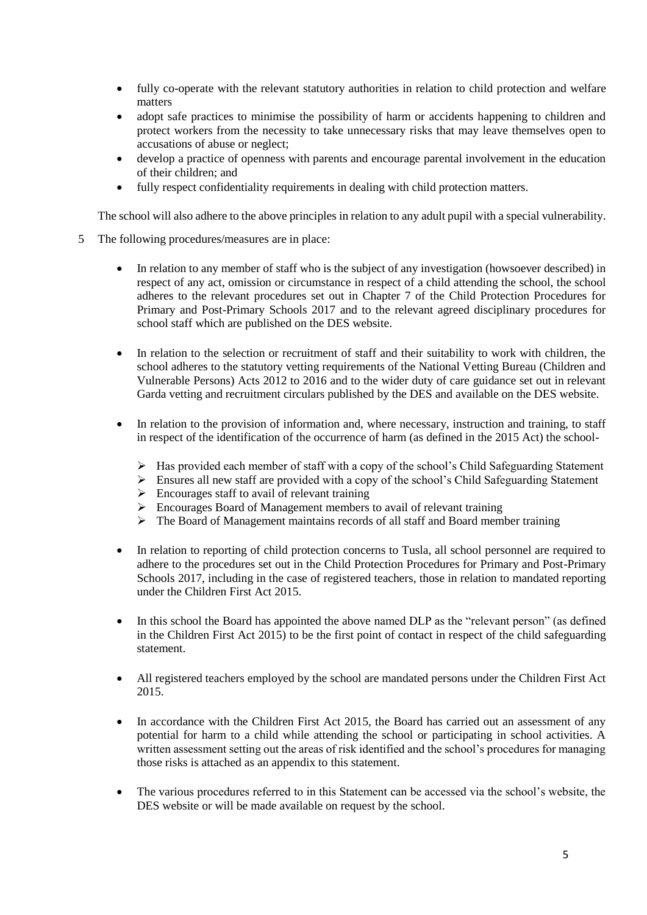- fully co-operate with the relevant statutory authorities in relation to child protection and welfare matters
- adopt safe practices to minimise the possibility of harm or accidents happening to children and protect workers from the necessity to take unnecessary risks that may leave themselves open to accusations of abuse or neglect;
- develop a practice of openness with parents and encourage parental involvement in the education of their children; and
- fully respect confidentiality requirements in dealing with child protection matters.

The school will also adhere to the above principles in relation to any adult pupil with a special vulnerability.

- 5 The following procedures/measures are in place:
	- In relation to any member of staff who is the subject of any investigation (howsoever described) in respect of any act, omission or circumstance in respect of a child attending the school, the school adheres to the relevant procedures set out in Chapter 7 of the Child Protection Procedures for Primary and Post-Primary Schools 2017 and to the relevant agreed disciplinary procedures for school staff which are published on the DES website.
	- In relation to the selection or recruitment of staff and their suitability to work with children, the school adheres to the statutory vetting requirements of the National Vetting Bureau (Children and Vulnerable Persons) Acts 2012 to 2016 and to the wider duty of care guidance set out in relevant Garda vetting and recruitment circulars published by the DES and available on the DES website.
	- In relation to the provision of information and, where necessary, instruction and training, to staff in respect of the identification of the occurrence of harm (as defined in the 2015 Act) the school-
		- ➢ Has provided each member of staff with a copy of the school's Child Safeguarding Statement
		- ➢ Ensures all new staff are provided with a copy of the school's Child Safeguarding Statement
		- $\triangleright$  Encourages staff to avail of relevant training
		- ➢ Encourages Board of Management members to avail of relevant training
		- ➢ The Board of Management maintains records of all staff and Board member training
	- In relation to reporting of child protection concerns to Tusla, all school personnel are required to adhere to the procedures set out in the Child Protection Procedures for Primary and Post-Primary Schools 2017, including in the case of registered teachers, those in relation to mandated reporting under the Children First Act 2015.
	- In this school the Board has appointed the above named DLP as the "relevant person" (as defined in the Children First Act 2015) to be the first point of contact in respect of the child safeguarding statement.
	- All registered teachers employed by the school are mandated persons under the Children First Act 2015.
	- In accordance with the Children First Act 2015, the Board has carried out an assessment of any potential for harm to a child while attending the school or participating in school activities. A written assessment setting out the areas of risk identified and the school's procedures for managing those risks is attached as an appendix to this statement.
	- The various procedures referred to in this Statement can be accessed via the school's website, the DES website or will be made available on request by the school.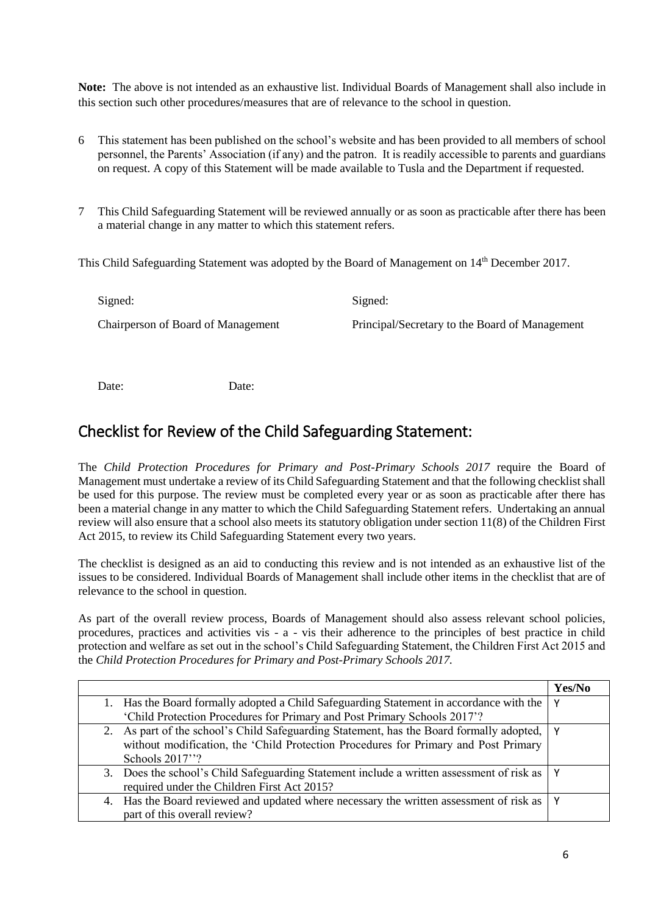**Note:** The above is not intended as an exhaustive list. Individual Boards of Management shall also include in this section such other procedures/measures that are of relevance to the school in question.

- 6 This statement has been published on the school's website and has been provided to all members of school personnel, the Parents' Association (if any) and the patron. It is readily accessible to parents and guardians on request. A copy of this Statement will be made available to Tusla and the Department if requested.
- 7 This Child Safeguarding Statement will be reviewed annually or as soon as practicable after there has been a material change in any matter to which this statement refers.

This Child Safeguarding Statement was adopted by the Board of Management on 14<sup>th</sup> December 2017.

Signed: Signed: Chairperson of Board of Management Principal/Secretary to the Board of Management

Date: Date:

### Checklist for Review of the Child Safeguarding Statement:

The *Child Protection Procedures for Primary and Post-Primary Schools 2017* require the Board of Management must undertake a review of its Child Safeguarding Statement and that the following checklist shall be used for this purpose. The review must be completed every year or as soon as practicable after there has been a material change in any matter to which the Child Safeguarding Statement refers. Undertaking an annual review will also ensure that a school also meets its statutory obligation under section 11(8) of the Children First Act 2015, to review its Child Safeguarding Statement every two years.

The checklist is designed as an aid to conducting this review and is not intended as an exhaustive list of the issues to be considered. Individual Boards of Management shall include other items in the checklist that are of relevance to the school in question.

As part of the overall review process, Boards of Management should also assess relevant school policies, procedures, practices and activities vis - a - vis their adherence to the principles of best practice in child protection and welfare as set out in the school's Child Safeguarding Statement, the Children First Act 2015 and the *Child Protection Procedures for Primary and Post-Primary Schools 2017.*

|    |                                                                                           | Yes/No |
|----|-------------------------------------------------------------------------------------------|--------|
|    | Has the Board formally adopted a Child Safeguarding Statement in accordance with the      | ۷      |
|    | 'Child Protection Procedures for Primary and Post Primary Schools 2017'?                  |        |
|    | 2. As part of the school's Child Safeguarding Statement, has the Board formally adopted,  |        |
|    | without modification, the 'Child Protection Procedures for Primary and Post Primary       |        |
|    | Schools 2017"?                                                                            |        |
|    | 3. Does the school's Child Safeguarding Statement include a written assessment of risk as |        |
|    | required under the Children First Act 2015?                                               |        |
| 4. | Has the Board reviewed and updated where necessary the written assessment of risk as      |        |
|    | part of this overall review?                                                              |        |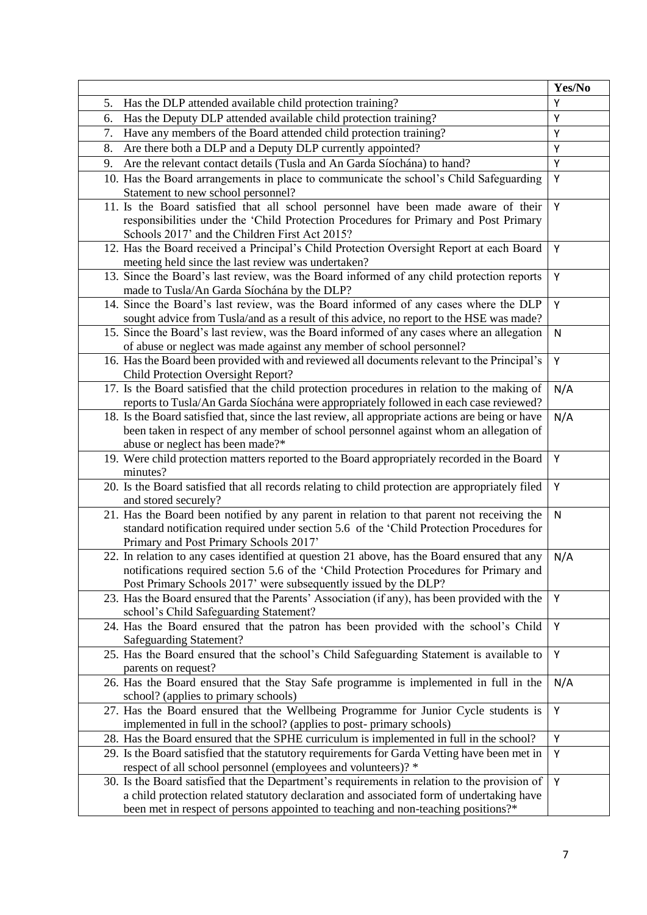|                                                                                                                                                                                                                                                                                | Yes/No |
|--------------------------------------------------------------------------------------------------------------------------------------------------------------------------------------------------------------------------------------------------------------------------------|--------|
| Has the DLP attended available child protection training?<br>5.                                                                                                                                                                                                                | Y      |
| Has the Deputy DLP attended available child protection training?<br>6.                                                                                                                                                                                                         | Υ      |
| 7.<br>Have any members of the Board attended child protection training?                                                                                                                                                                                                        | Υ      |
| Are there both a DLP and a Deputy DLP currently appointed?<br>8.                                                                                                                                                                                                               | Υ      |
| Are the relevant contact details (Tusla and An Garda Síochána) to hand?<br>9.                                                                                                                                                                                                  | Y      |
| 10. Has the Board arrangements in place to communicate the school's Child Safeguarding<br>Statement to new school personnel?                                                                                                                                                   | Υ      |
| 11. Is the Board satisfied that all school personnel have been made aware of their<br>responsibilities under the 'Child Protection Procedures for Primary and Post Primary<br>Schools 2017' and the Children First Act 2015?                                                   | Υ      |
| 12. Has the Board received a Principal's Child Protection Oversight Report at each Board<br>meeting held since the last review was undertaken?                                                                                                                                 | Υ      |
| 13. Since the Board's last review, was the Board informed of any child protection reports<br>made to Tusla/An Garda Síochána by the DLP?                                                                                                                                       | Υ      |
| 14. Since the Board's last review, was the Board informed of any cases where the DLP<br>sought advice from Tusla/and as a result of this advice, no report to the HSE was made?                                                                                                | Υ      |
| 15. Since the Board's last review, was the Board informed of any cases where an allegation<br>of abuse or neglect was made against any member of school personnel?                                                                                                             | N      |
| 16. Has the Board been provided with and reviewed all documents relevant to the Principal's<br><b>Child Protection Oversight Report?</b>                                                                                                                                       | Υ      |
| 17. Is the Board satisfied that the child protection procedures in relation to the making of<br>reports to Tusla/An Garda Síochána were appropriately followed in each case reviewed?                                                                                          | N/A    |
| 18. Is the Board satisfied that, since the last review, all appropriate actions are being or have<br>been taken in respect of any member of school personnel against whom an allegation of<br>abuse or neglect has been made?*                                                 | N/A    |
| 19. Were child protection matters reported to the Board appropriately recorded in the Board<br>minutes?                                                                                                                                                                        | Υ      |
| 20. Is the Board satisfied that all records relating to child protection are appropriately filed<br>and stored securely?                                                                                                                                                       | Υ      |
| 21. Has the Board been notified by any parent in relation to that parent not receiving the<br>standard notification required under section 5.6 of the 'Child Protection Procedures for<br>Primary and Post Primary Schools 2017'                                               | N      |
| 22. In relation to any cases identified at question 21 above, has the Board ensured that any<br>notifications required section 5.6 of the 'Child Protection Procedures for Primary and<br>Post Primary Schools 2017' were subsequently issued by the DLP?                      | N/A    |
| 23. Has the Board ensured that the Parents' Association (if any), has been provided with the<br>school's Child Safeguarding Statement?                                                                                                                                         | Y      |
| 24. Has the Board ensured that the patron has been provided with the school's Child<br><b>Safeguarding Statement?</b>                                                                                                                                                          | Y      |
| 25. Has the Board ensured that the school's Child Safeguarding Statement is available to<br>parents on request?                                                                                                                                                                | Y      |
| 26. Has the Board ensured that the Stay Safe programme is implemented in full in the<br>school? (applies to primary schools)                                                                                                                                                   | N/A    |
| 27. Has the Board ensured that the Wellbeing Programme for Junior Cycle students is<br>implemented in full in the school? (applies to post-primary schools)                                                                                                                    | Y      |
| 28. Has the Board ensured that the SPHE curriculum is implemented in full in the school?                                                                                                                                                                                       | Υ      |
| 29. Is the Board satisfied that the statutory requirements for Garda Vetting have been met in<br>respect of all school personnel (employees and volunteers)?*                                                                                                                  | Υ      |
| 30. Is the Board satisfied that the Department's requirements in relation to the provision of<br>a child protection related statutory declaration and associated form of undertaking have<br>been met in respect of persons appointed to teaching and non-teaching positions?* | Y      |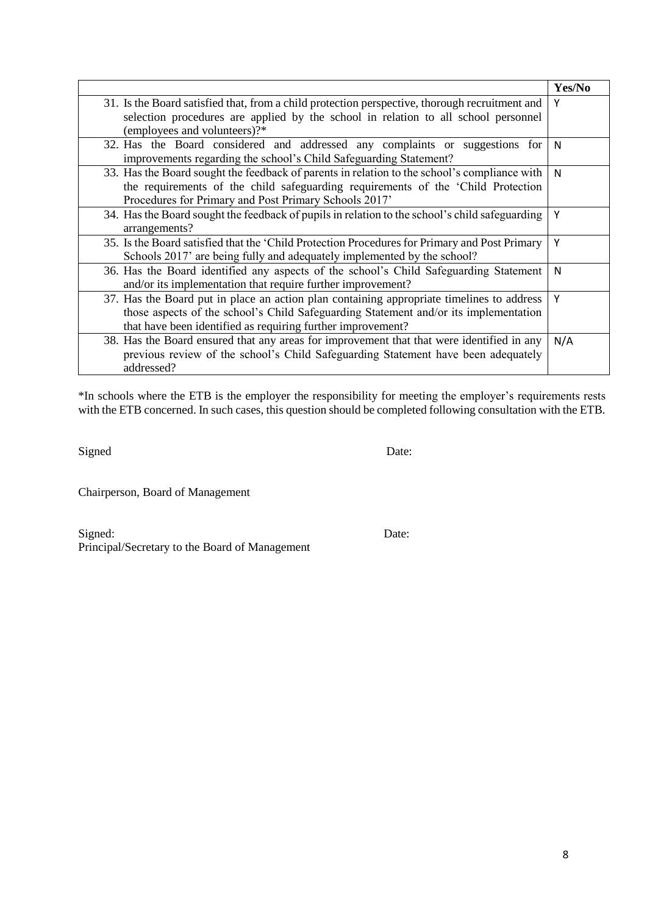|                                                                                                                                                   | Yes/No |
|---------------------------------------------------------------------------------------------------------------------------------------------------|--------|
| 31. Is the Board satisfied that, from a child protection perspective, thorough recruitment and                                                    | Y      |
| selection procedures are applied by the school in relation to all school personnel<br>(employees and volunteers)?*                                |        |
|                                                                                                                                                   |        |
| 32. Has the Board considered and addressed any complaints or suggestions for<br>improvements regarding the school's Child Safeguarding Statement? | N      |
| 33. Has the Board sought the feedback of parents in relation to the school's compliance with                                                      | N      |
| the requirements of the child safeguarding requirements of the 'Child Protection                                                                  |        |
| Procedures for Primary and Post Primary Schools 2017'                                                                                             |        |
| 34. Has the Board sought the feedback of pupils in relation to the school's child safeguarding<br>arrangements?                                   | Υ      |
| 35. Is the Board satisfied that the 'Child Protection Procedures for Primary and Post Primary                                                     | Υ      |
| Schools 2017' are being fully and adequately implemented by the school?                                                                           |        |
| 36. Has the Board identified any aspects of the school's Child Safeguarding Statement                                                             | N      |
| and/or its implementation that require further improvement?                                                                                       |        |
| 37. Has the Board put in place an action plan containing appropriate timelines to address                                                         | Υ      |
| those aspects of the school's Child Safeguarding Statement and/or its implementation                                                              |        |
| that have been identified as requiring further improvement?                                                                                       |        |
| 38. Has the Board ensured that any areas for improvement that that were identified in any                                                         | N/A    |
| previous review of the school's Child Safeguarding Statement have been adequately                                                                 |        |
| addressed?                                                                                                                                        |        |

\*In schools where the ETB is the employer the responsibility for meeting the employer's requirements rests with the ETB concerned. In such cases, this question should be completed following consultation with the ETB.

Signed Date:

Chairperson, Board of Management

Signed: Date: Principal/Secretary to the Board of Management